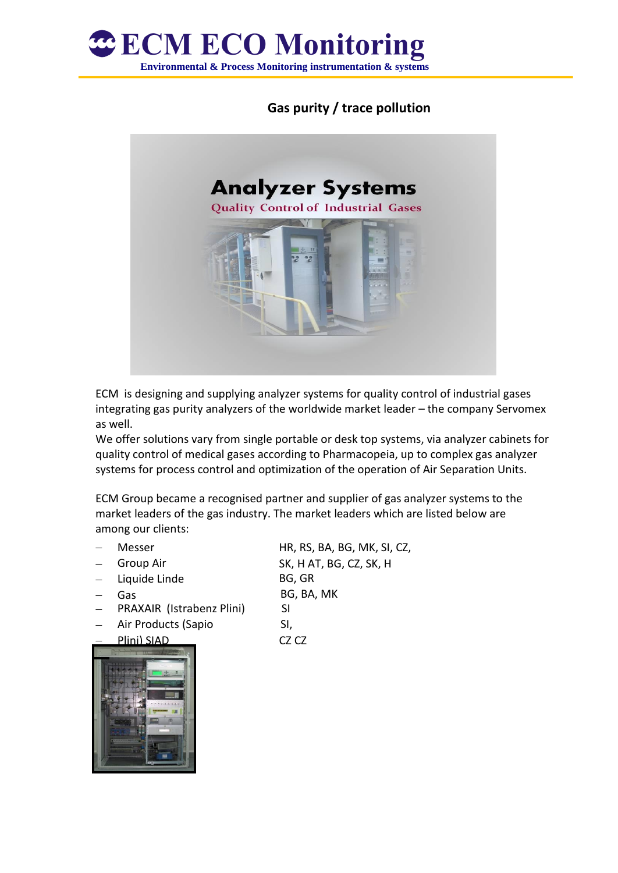

## **Gas purity / trace pollution**



ECM is designing and supplying analyzer systems for quality control of industrial gases integrating gas purity analyzers of the worldwide market leader – the company Servomex as well.

We offer solutions vary from single portable or desk top systems, via analyzer cabinets for quality control of medical gases according to Pharmacopeia, up to complex gas analyzer systems for process control and optimization of the operation of Air Separation Units.

ECM Group became a recognised partner and supplier of gas analyzer systems to the market leaders of the gas industry. The market leaders which are listed below are among our clients:

- -Messer
- -Group Air
- -Liquide Linde
- -Gas

 $\equiv$ 

- PRAXAIR (Istrabenz Plini) -
- -Air Products (Sapio

Plini) SIAD



HR, RS, BA, BG, MK, SI, CZ, SK, H AT, BG, CZ, SK, H BG, GR BG, BA, MK SI SI, CZ CZ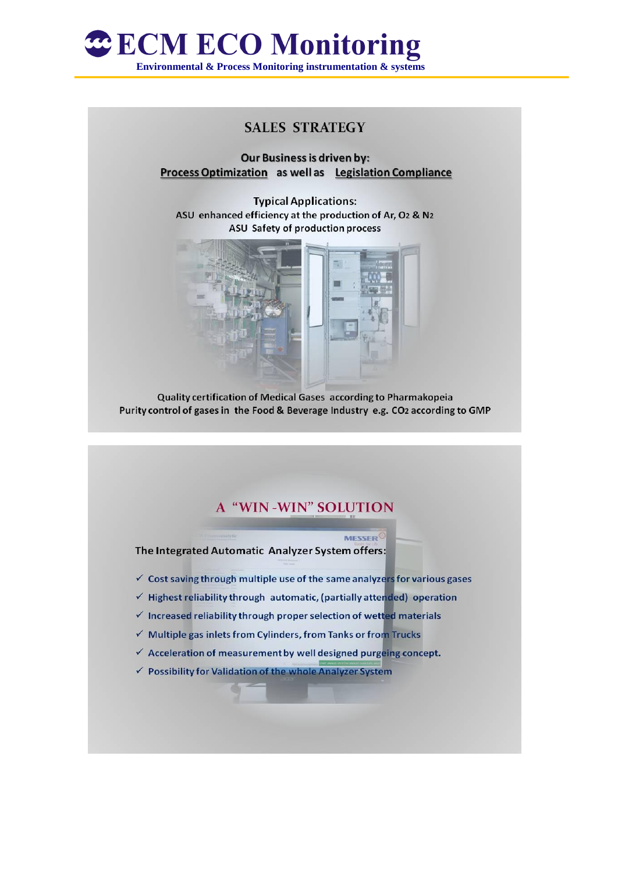

## **SALES STRATEGY**

Our Business is driven by: **Process Optimization** as well as Legislation Compliance

**Typical Applications:** ASU enhanced efficiency at the production of Ar, O2 & N2 ASU Safety of production process



Quality certification of Medical Gases according to Pharmakopeia Purity control of gases in the Food & Beverage Industry e.g. CO2 according to GMP

## A "WIN-WIN" SOLUTION **MESSER<sup>C</sup>** The Integrated Automatic Analyzer System offers:  $\checkmark$  Cost saving through multiple use of the same analyzers for various gases  $\checkmark$  Highest reliability through automatic, (partially attended) operation  $\checkmark$  Increased reliability through proper selection of wetted materials  $\checkmark$  Multiple gas inlets from Cylinders, from Tanks or from Trucks  $\checkmark$  Acceleration of measurement by well designed purgeing concept. √ Possibility for Validation of the whole Analyzer System